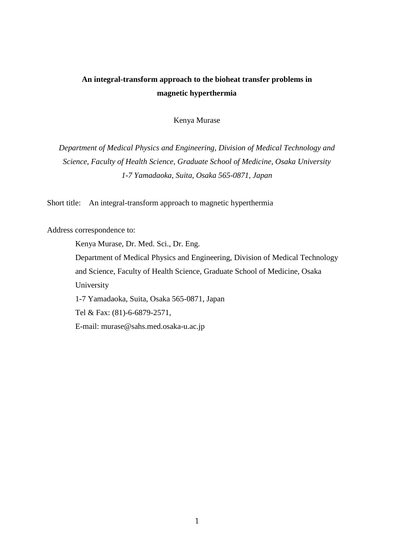# **An integral-transform approach to the bioheat transfer problems in magnetic hyperthermia**

Kenya Murase

*Department of Medical Physics and Engineering, Division of Medical Technology and Science, Faculty of Health Science, Graduate School of Medicine, Osaka University 1-7 Yamadaoka, Suita, Osaka 565-0871, Japan*

Short title: An integral-transform approach to magnetic hyperthermia

Address correspondence to:

Kenya Murase, Dr. Med. Sci., Dr. Eng. Department of Medical Physics and Engineering, Division of Medical Technology and Science, Faculty of Health Science, Graduate School of Medicine, Osaka University 1-7 Yamadaoka, Suita, Osaka 565-0871, Japan Tel & Fax: (81)-6-6879-2571, E-mail: murase@sahs.med.osaka-u.ac.jp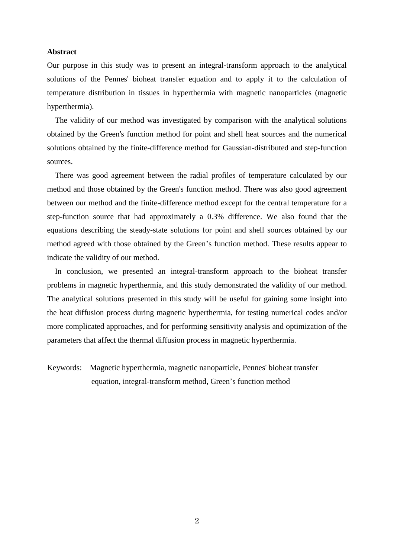# **Abstract**

Our purpose in this study was to present an integral-transform approach to the analytical solutions of the Pennes' bioheat transfer equation and to apply it to the calculation of temperature distribution in tissues in hyperthermia with magnetic nanoparticles (magnetic hyperthermia).

The validity of our method was investigated by comparison with the analytical solutions obtained by the Green's function method for point and shell heat sources and the numerical solutions obtained by the finite-difference method for Gaussian-distributed and step-function sources.

There was good agreement between the radial profiles of temperature calculated by our method and those obtained by the Green's function method. There was also good agreement between our method and the finite-difference method except for the central temperature for a step-function source that had approximately a 0.3% difference. We also found that the equations describing the steady-state solutions for point and shell sources obtained by our method agreed with those obtained by the Green's function method. These results appear to indicate the validity of our method.

In conclusion, we presented an integral-transform approach to the bioheat transfer problems in magnetic hyperthermia, and this study demonstrated the validity of our method. The analytical solutions presented in this study will be useful for gaining some insight into the heat diffusion process during magnetic hyperthermia, for testing numerical codes and/or more complicated approaches, and for performing sensitivity analysis and optimization of the parameters that affect the thermal diffusion process in magnetic hyperthermia.

Keywords: Magnetic hyperthermia, magnetic nanoparticle, Pennes' bioheat transfer equation, integral-transform method, Green's function method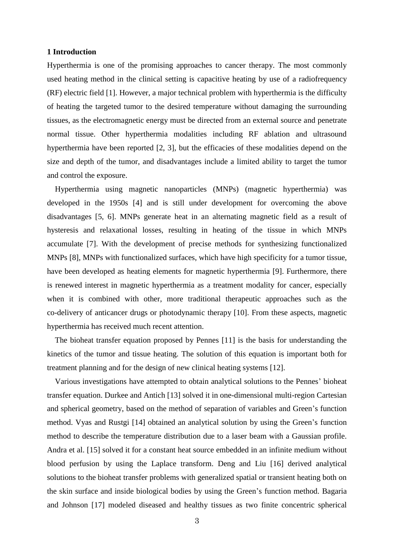### **1 Introduction**

Hyperthermia is one of the promising approaches to cancer therapy. The most commonly used heating method in the clinical setting is capacitive heating by use of a radiofrequency (RF) electric field [1]. However, a major technical problem with hyperthermia is the difficulty of heating the targeted tumor to the desired temperature without damaging the surrounding tissues, as the electromagnetic energy must be directed from an external source and penetrate normal tissue. Other hyperthermia modalities including RF ablation and ultrasound hyperthermia have been reported [2, 3], but the efficacies of these modalities depend on the size and depth of the tumor, and disadvantages include a limited ability to target the tumor and control the exposure.

Hyperthermia using magnetic nanoparticles (MNPs) (magnetic hyperthermia) was developed in the 1950s [4] and is still under development for overcoming the above disadvantages [5, 6]. MNPs generate heat in an alternating magnetic field as a result of hysteresis and relaxational losses, resulting in heating of the tissue in which MNPs accumulate [7]. With the development of precise methods for synthesizing functionalized MNPs [8], MNPs with functionalized surfaces, which have high specificity for a tumor tissue, have been developed as heating elements for magnetic hyperthermia [9]. Furthermore, there is renewed interest in magnetic hyperthermia as a treatment modality for cancer, especially when it is combined with other, more traditional therapeutic approaches such as the co-delivery of anticancer drugs or photodynamic therapy [10]. From these aspects, magnetic hyperthermia has received much recent attention.

The bioheat transfer equation proposed by Pennes [11] is the basis for understanding the kinetics of the tumor and tissue heating. The solution of this equation is important both for treatment planning and for the design of new clinical heating systems [12].

Various investigations have attempted to obtain analytical solutions to the Pennes' bioheat transfer equation. Durkee and Antich [13] solved it in one-dimensional multi-region Cartesian and spherical geometry, based on the method of separation of variables and Green's function method. Vyas and Rustgi [14] obtained an analytical solution by using the Green's function method to describe the temperature distribution due to a laser beam with a Gaussian profile. Andra et al. [15] solved it for a constant heat source embedded in an infinite medium without blood perfusion by using the Laplace transform. Deng and Liu [16] derived analytical solutions to the bioheat transfer problems with generalized spatial or transient heating both on the skin surface and inside biological bodies by using the Green's function method. Bagaria and Johnson [17] modeled diseased and healthy tissues as two finite concentric spherical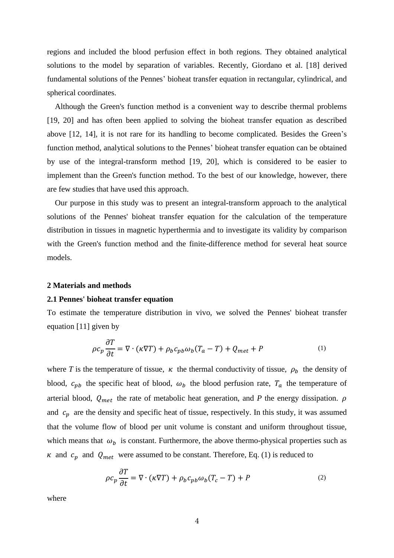regions and included the blood perfusion effect in both regions. They obtained analytical solutions to the model by separation of variables. Recently, Giordano et al. [18] derived fundamental solutions of the Pennes' bioheat transfer equation in rectangular, cylindrical, and spherical coordinates.

Although the Green's function method is a convenient way to describe thermal problems [19, 20] and has often been applied to solving the bioheat transfer equation as described above [12, 14], it is not rare for its handling to become complicated. Besides the Green's function method, analytical solutions to the Pennes' bioheat transfer equation can be obtained by use of the integral-transform method [19, 20], which is considered to be easier to implement than the Green's function method. To the best of our knowledge, however, there are few studies that have used this approach.

Our purpose in this study was to present an integral-transform approach to the analytical solutions of the Pennes' bioheat transfer equation for the calculation of the temperature distribution in tissues in magnetic hyperthermia and to investigate its validity by comparison with the Green's function method and the finite-difference method for several heat source models.

#### **2 Materials and methods**

### **2.1 Pennes' bioheat transfer equation**

To estimate the temperature distribution in vivo, we solved the Pennes' bioheat transfer equation [11] given by

$$
\rho c_p \frac{\partial T}{\partial t} = \nabla \cdot (\kappa \nabla T) + \rho_b c_{pb} \omega_b (T_a - T) + Q_{met} + P \tag{1}
$$

where *T* is the temperature of tissue,  $\kappa$  the thermal conductivity of tissue,  $\rho_b$  the density of blood,  $c_{pb}$  the specific heat of blood,  $\omega_b$  the blood perfusion rate,  $T_a$  the temperature of arterial blood,  $Q_{met}$  the rate of metabolic heat generation, and *P* the energy dissipation.  $\rho$ and  $c_p$  are the density and specific heat of tissue, respectively. In this study, it was assumed that the volume flow of blood per unit volume is constant and uniform throughout tissue, which means that  $\omega_b$  is constant. Furthermore, the above thermo-physical properties such as  $\kappa$  and  $c_p$  and  $Q_{met}$  were assumed to be constant. Therefore, Eq. (1) is reduced to

$$
\rho c_p \frac{\partial T}{\partial t} = \nabla \cdot (\kappa \nabla T) + \rho_b c_{pb} \omega_b (T_c - T) + P \tag{2}
$$

where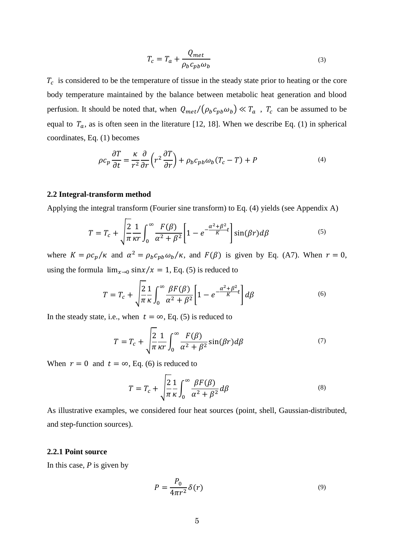$$
T_c = T_a + \frac{Q_{met}}{\rho_b c_{pb} \omega_b} \tag{3}
$$

 $T_c$  is considered to be the temperature of tissue in the steady state prior to heating or the core body temperature maintained by the balance between metabolic heat generation and blood perfusion. It should be noted that, when  $Q_{met}/(\rho_b c_{pb} \omega_b) \ll T_a$ ,  $T_c$  can be assumed to be equal to  $T_a$ , as is often seen in the literature [12, 18]. When we describe Eq. (1) in spherical coordinates, Eq. (1) becomes

$$
\rho c_p \frac{\partial T}{\partial t} = \frac{\kappa}{r^2} \frac{\partial}{\partial r} \left( r^2 \frac{\partial T}{\partial r} \right) + \rho_b c_{pb} \omega_b (T_c - T) + P \tag{4}
$$

## **2.2 Integral-transform method**

Applying the integral transform (Fourier sine transform) to Eq. (4) yields (see Appendix A)

$$
T = T_c + \sqrt{\frac{2}{\pi} \frac{1}{\kappa r} \int_0^\infty \frac{F(\beta)}{\alpha^2 + \beta^2} \left[1 - e^{-\frac{\alpha^2 + \beta^2}{K}t} \right] \sin(\beta r) d\beta}
$$
(5)

where  $K = \rho c_p / \kappa$  and  $\alpha^2 = \rho_b c_{pb} \omega_b / \kappa$ , and  $F(\beta)$  is given by Eq. (A7). When  $r = 0$ , using the formula  $\lim_{x\to 0} \frac{\sin(x)}{x} = 1$ , Eq. (5) is reduced to

$$
T = T_c + \sqrt{\frac{2}{\pi}} \frac{1}{\kappa} \int_0^\infty \frac{\beta F(\beta)}{\alpha^2 + \beta^2} \left[ 1 - e^{-\frac{\alpha^2 + \beta^2}{K}} t \right] d\beta \tag{6}
$$

In the steady state, i.e., when  $t = \infty$ , Eq. (5) is reduced to

$$
T = T_c + \sqrt{\frac{2}{\pi} \frac{1}{\kappa r} \int_0^\infty \frac{F(\beta)}{\alpha^2 + \beta^2} \sin(\beta r) d\beta}
$$
(7)

When  $r = 0$  and  $t = \infty$ , Eq. (6) is reduced to

$$
T = T_c + \sqrt{\frac{2}{\pi}} \frac{1}{\kappa} \int_0^\infty \frac{\beta F(\beta)}{\alpha^2 + \beta^2} d\beta
$$
 (8)

As illustrative examples, we considered four heat sources (point, shell, Gaussian-distributed, and step-function sources).

### **2.2.1 Point source**

In this case, *P* is given by

$$
P = \frac{P_0}{4\pi r^2} \delta(r) \tag{9}
$$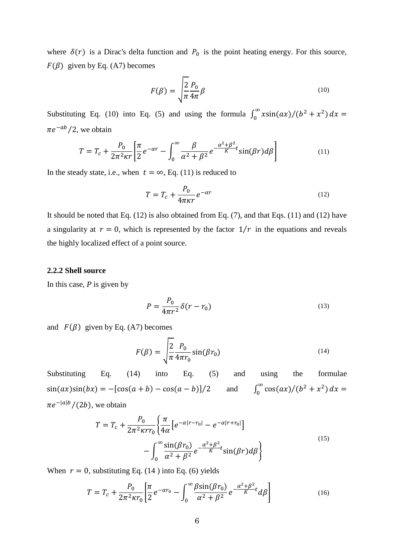where  $\delta(r)$  is a Dirac's delta function and  $P_0$  is the point heating energy. For this source,  $F(\beta)$  given by Eq. (A7) becomes

$$
F(\beta) = \sqrt{\frac{2}{\pi}} \frac{P_0}{4\pi} \beta \tag{10}
$$

Substituting Eq. (10) into Eq. (5) and using the formula  $\int_0^\infty x \sin(ax) / (b^2 + x^2) dx =$  $\pi e^{-ab}/2$ , we obtain

$$
T = T_c + \frac{P_0}{2\pi^2 \kappa r} \left[ \frac{\pi}{2} e^{-\alpha r} - \int_0^\infty \frac{\beta}{\alpha^2 + \beta^2} e^{-\frac{\alpha^2 + \beta^2}{K} t} \sin(\beta r) d\beta \right]
$$
(11)

In the steady state, i.e., when  $t = \infty$ , Eq. (11) is reduced to

$$
T = T_c + \frac{P_0}{4\pi\kappa r} e^{-\alpha r}
$$
\n(12)

It should be noted that Eq. (12) is also obtained from Eq. (7), and that Eqs. (11) and (12) have a singularity at  $r = 0$ , which is represented by the factor  $1/r$  in the equations and reveals the highly localized effect of a point source.

# **2.2.2 Shell source**

In this case, *P* is given by

$$
P = \frac{P_0}{4\pi r^2} \delta(r - r_0)
$$
\n<sup>(13)</sup>

and  $F(\beta)$  given by Eq. (A7) becomes

$$
F(\beta) = \sqrt{\frac{2}{\pi} \frac{P_0}{4\pi r_0}} \sin(\beta r_0)
$$
\n(14)

Substituting Eq. (14) into Eq. (5) and using the formulae  $sin(ax)sin(bx) = -[cos(a + b) - cos(a - b)]/2$  and  $\int_0^{\infty} \cos(ax)/(b^2 + x^2) dx =$  $\pi e^{-|a|b}/(2b)$ , we obtain

$$
T = T_c + \frac{P_0}{2\pi^2 \kappa r r_0} \left\{ \frac{\pi}{4\alpha} \left[ e^{-\alpha |r - r_0|} - e^{-\alpha |r + r_0|} \right] - \int_0^\infty \frac{\sin(\beta r_0)}{\alpha^2 + \beta^2} e^{-\frac{\alpha^2 + \beta^2}{K} t} \sin(\beta r) d\beta \right\}
$$
\n(15)

When  $r = 0$ , substituting Eq. (14) into Eq. (6) yields

$$
T = T_c + \frac{P_0}{2\pi^2 \kappa r_0} \left[ \frac{\pi}{2} e^{-\alpha r_0} - \int_0^\infty \frac{\beta \sin(\beta r_0)}{\alpha^2 + \beta^2} e^{-\frac{\alpha^2 + \beta^2}{K} t} d\beta \right]
$$
(16)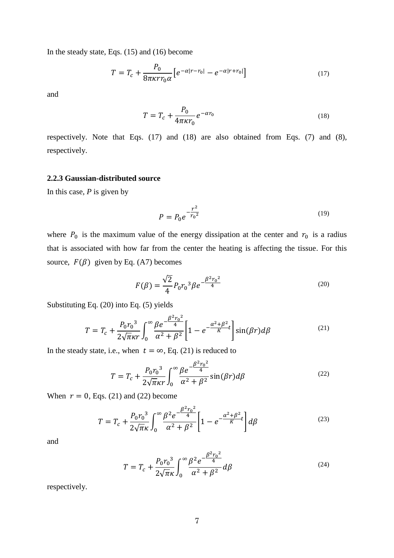In the steady state, Eqs. (15) and (16) become

$$
T = T_c + \frac{P_0}{8\pi\kappa r r_0 \alpha} \left[ e^{-\alpha |r - r_0|} - e^{-\alpha |r + r_0|} \right]
$$
 (17)

and

$$
T = T_c + \frac{P_0}{4\pi\kappa r_0} e^{-\alpha r_0} \tag{18}
$$

respectively. Note that Eqs. (17) and (18) are also obtained from Eqs. (7) and (8), respectively.

# **2.2.3 Gaussian-distributed source**

In this case, *P* is given by

$$
P = P_0 e^{-\frac{r^2}{r_0^2}}
$$
 (19)

where  $P_0$  is the maximum value of the energy dissipation at the center and  $r_0$  is a radius that is associated with how far from the center the heating is affecting the tissue. For this source,  $F(\beta)$  given by Eq. (A7) becomes

$$
F(\beta) = \frac{\sqrt{2}}{4} P_0 r_0^3 \beta e^{-\frac{\beta^2 r_0^2}{4}}
$$
 (20)

Substituting Eq. (20) into Eq. (5) yields

$$
T = T_c + \frac{P_0 r_0^3}{2\sqrt{\pi}\kappa r} \int_0^\infty \frac{\beta e^{-\frac{\beta^2 r_0^2}{4}}}{\alpha^2 + \beta^2} \left[1 - e^{-\frac{\alpha^2 + \beta^2}{K}t} \right] \sin(\beta r) d\beta \tag{21}
$$

In the steady state, i.e., when  $t = \infty$ , Eq. (21) is reduced to

$$
T = T_c + \frac{P_0 r_0^3}{2\sqrt{\pi}\kappa r} \int_0^\infty \frac{\beta e^{-\frac{\beta^2 r_0^2}{4}}}{\alpha^2 + \beta^2} \sin(\beta r) d\beta \tag{22}
$$

When  $r = 0$ , Eqs. (21) and (22) become

$$
T = T_c + \frac{P_0 r_0^3}{2\sqrt{\pi}\kappa} \int_0^\infty \frac{\beta^2 e^{-\frac{\beta^2 r_0^2}{4}}}{\alpha^2 + \beta^2} \left[1 - e^{-\frac{\alpha^2 + \beta^2}{K}t}\right] d\beta \tag{23}
$$

and

$$
T = T_c + \frac{P_0 r_0^3}{2\sqrt{\pi}\kappa} \int_0^\infty \frac{\beta^2 e^{-\frac{\beta^2 r_0^2}{4}}}{\alpha^2 + \beta^2} d\beta
$$
 (24)

respectively.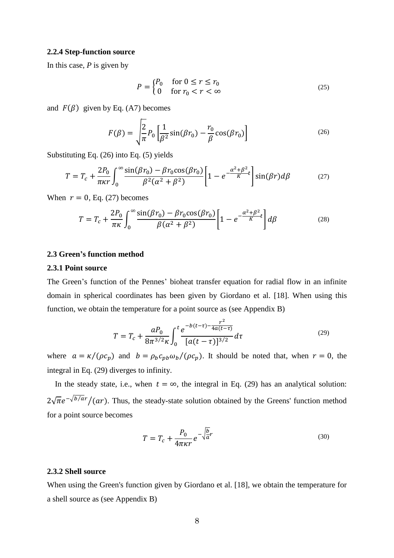#### **2.2.4 Step-function source**

In this case, *P* is given by

$$
P = \begin{cases} P_0 & \text{for } 0 \le r \le r_0 \\ 0 & \text{for } r_0 < r < \infty \end{cases} \tag{25}
$$

and  $F(\beta)$  given by Eq. (A7) becomes

$$
F(\beta) = \sqrt{\frac{2}{\pi}} P_0 \left[ \frac{1}{\beta^2} \sin(\beta r_0) - \frac{r_0}{\beta} \cos(\beta r_0) \right]
$$
 (26)

Substituting Eq. (26) into Eq. (5) yields

$$
T = T_c + \frac{2P_0}{\pi \kappa r} \int_0^\infty \frac{\sin(\beta r_0) - \beta r_0 \cos(\beta r_0)}{\beta^2 (\alpha^2 + \beta^2)} \left[ 1 - e^{-\frac{\alpha^2 + \beta^2}{K} t} \right] \sin(\beta r) d\beta \tag{27}
$$

When  $r = 0$ , Eq. (27) becomes

$$
T = T_c + \frac{2P_0}{\pi\kappa} \int_0^\infty \frac{\sin(\beta r_0) - \beta r_0 \cos(\beta r_0)}{\beta(\alpha^2 + \beta^2)} \left[1 - e^{-\frac{\alpha^2 + \beta^2}{K}t} \right] d\beta \tag{28}
$$

# **2.3 Green's function method**

# **2.3.1 Point source**

The Green's function of the Pennes' bioheat transfer equation for radial flow in an infinite domain in spherical coordinates has been given by Giordano et al. [18]. When using this function, we obtain the temperature for a point source as (see Appendix B)

$$
T = T_c + \frac{aP_0}{8\pi^{3/2}\kappa} \int_0^t \frac{e^{-b(t-\tau) - \frac{r^2}{4a(t-\tau)}}}{[a(t-\tau)]^{3/2}} d\tau
$$
 (29)

where  $a = \kappa/(\rho c_p)$  and  $b = \rho_b c_{pb} \omega_b/(\rho c_p)$ . It should be noted that, when  $r = 0$ , the integral in Eq. (29) diverges to infinity.

In the steady state, i.e., when  $t = \infty$ , the integral in Eq. (29) has an analytical solution:  $2\sqrt{\pi}e^{-\sqrt{b}/ar}/(ar)$ . Thus, the steady-state solution obtained by the Greens' function method for a point source becomes

$$
T = T_c + \frac{P_0}{4\pi\kappa r} e^{-\sqrt{\frac{b}{a}}r}
$$
\n(30)

#### **2.3.2 Shell source**

When using the Green's function given by Giordano et al. [18], we obtain the temperature for a shell source as (see Appendix B)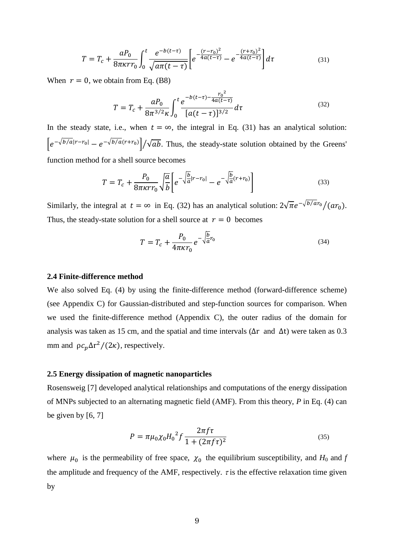$$
T = T_c + \frac{aP_0}{8\pi\kappa r r_0} \int_0^t \frac{e^{-b(t-\tau)}}{\sqrt{a\pi(t-\tau)}} \left[ e^{-\frac{(r-r_0)^2}{4a(t-\tau)}} - e^{-\frac{(r+r_0)^2}{4a(t-\tau)}} \right] d\tau \tag{31}
$$

When  $r = 0$ , we obtain from Eq. (B8)

$$
T = T_c + \frac{aP_0}{8\pi^{3/2}\kappa} \int_0^t \frac{e^{-b(t-\tau) - \frac{r_0^2}{4a(t-\tau)}}}{[a(t-\tau)]^{3/2}} d\tau
$$
 (32)

In the steady state, i.e., when  $t = \infty$ , the integral in Eq. (31) has an analytical solution:  $\left|e^{-\sqrt{b/a}|r-r_0|}-e^{-\sqrt{b/a}(r+r_0)}\right|/\sqrt{ab}$ . Thus, the steady-state solution obtained by the Greens' function method for a shell source becomes

$$
T = T_c + \frac{P_0}{8\pi\kappa r r_0} \sqrt{\frac{a}{b}} \left[ e^{-\sqrt{\frac{b}{a}}|r - r_0|} - e^{-\sqrt{\frac{b}{a}}(r + r_0)} \right]
$$
(33)

Similarly, the integral at  $t = \infty$  in Eq. (32) has an analytical solution:  $2\sqrt{\pi}e^{-\sqrt{b/ar_0}}/(ar_0)$ . Thus, the steady-state solution for a shell source at  $r = 0$  becomes

$$
T = T_c + \frac{P_0}{4\pi\kappa r_0} e^{-\sqrt{\frac{b}{a}}r_0}
$$
\n(34)

# **2.4 Finite-difference method**

We also solved Eq. (4) by using the finite-difference method (forward-difference scheme) (see Appendix C) for Gaussian-distributed and step-function sources for comparison. When we used the finite-difference method (Appendix C), the outer radius of the domain for analysis was taken as 15 cm, and the spatial and time intervals (∆r and ∆t) were taken as 0.3 mm and  $\rho c_p \Delta r^2/(2\kappa)$ , respectively.

# **2.5 Energy dissipation of magnetic nanoparticles**

Rosensweig [7] developed analytical relationships and computations of the energy dissipation of MNPs subjected to an alternating magnetic field (AMF). From this theory, *P* in Eq. (4) can be given by  $[6, 7]$ 

$$
P = \pi \mu_0 \chi_0 H_0^2 f \frac{2\pi f \tau}{1 + (2\pi f \tau)^2}
$$
\n(35)

where  $\mu_0$  is the permeability of free space,  $\chi_0$  the equilibrium susceptibility, and  $H_0$  and  $f$ the amplitude and frequency of the AMF, respectively.  $\tau$  is the effective relaxation time given by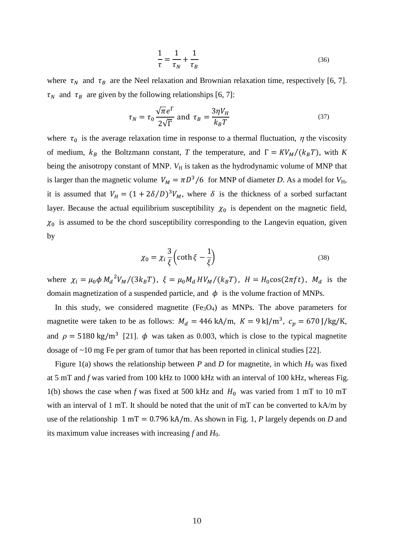$$
\frac{1}{\tau} = \frac{1}{\tau_N} + \frac{1}{\tau_B} \tag{36}
$$

where  $\tau_N$  and  $\tau_B$  are the Neel relaxation and Brownian relaxation time, respectively [6, 7].  $\tau_N$  and  $\tau_B$  are given by the following relationships [6, 7]:

$$
\tau_N = \tau_0 \frac{\sqrt{\pi} e^{\Gamma}}{2\sqrt{\Gamma}} \text{ and } \tau_B = \frac{3\eta V_H}{k_B T}
$$
 (37)

where  $\tau_0$  is the average relaxation time in response to a thermal fluctuation,  $\eta$  the viscosity of medium,  $k_B$  the Boltzmann constant, *T* the temperature, and  $\Gamma = K V_M / (k_B T)$ , with *K* being the anisotropy constant of MNP. *V*H is taken as the hydrodynamic volume of MNP that is larger than the magnetic volume  $V_M = \pi D^3/6$  for MNP of diameter *D*. As a model for  $V_H$ , it is assumed that  $V_H = (1 + 2\delta/D)^3 V_M$ , where  $\delta$  is the thickness of a sorbed surfactant layer. Because the actual equilibrium susceptibility  $\chi_0$  is dependent on the magnetic field,  $\chi_0$  is assumed to be the chord susceptibility corresponding to the Langevin equation, given by

$$
\chi_0 = \chi_i \frac{3}{\xi} \left( \coth \xi - \frac{1}{\xi} \right) \tag{38}
$$

where  $\chi_i = \mu_0 \phi M_d^2 V_M / (3k_B T)$ ,  $\xi = \mu_0 M_d H V_M / (k_B T)$ ,  $H = H_0 \cos(2\pi f t)$ ,  $M_d$  is the domain magnetization of a suspended particle, and  $\phi$  is the volume fraction of MNPs.

In this study, we considered magnetite  $(Fe<sub>3</sub>O<sub>4</sub>)$  as MNPs. The above parameters for magnetite were taken to be as follows:  $M_d = 446 \text{ kA/m}$ ,  $K = 9 \text{ kJ/m}^3$ ,  $c_p = 670 \text{ J/kg/K}$ , and  $\rho = 5180 \text{ kg/m}^3$  [21].  $\phi$  was taken as 0.003, which is close to the typical magnetite dosage of ~10 mg Fe per gram of tumor that has been reported in clinical studies [22].

Figure 1(a) shows the relationship between  $P$  and  $D$  for magnetite, in which  $H_0$  was fixed at 5 mT and *f* was varied from 100 kHz to 1000 kHz with an interval of 100 kHz, whereas Fig. 1(b) shows the case when *f* was fixed at 500 kHz and  $H_0$  was varied from 1 mT to 10 mT with an interval of 1 mT. It should be noted that the unit of mT can be converted to kA/m by use of the relationship  $1 mT = 0.796 kA/m$ . As shown in Fig. 1, *P* largely depends on *D* and its maximum value increases with increasing *f* and *H*<sub>0</sub>.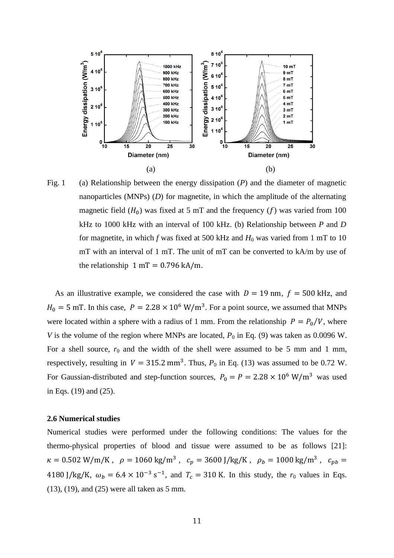

Fig. 1 (a) Relationship between the energy dissipation (*P*) and the diameter of magnetic nanoparticles (MNPs) (*D*) for magnetite, in which the amplitude of the alternating magnetic field  $(H_0)$  was fixed at 5 mT and the frequency  $(f)$  was varied from 100 kHz to 1000 kHz with an interval of 100 kHz. (b) Relationship between *P* and *D* for magnetite, in which  $f$  was fixed at 500 kHz and  $H_0$  was varied from 1 mT to 10 mT with an interval of 1 mT. The unit of mT can be converted to kA/m by use of the relationship  $1 mT = 0.796 kA/m$ .

As an illustrative example, we considered the case with  $D = 19$  nm,  $f = 500$  kHz, and  $H_0 = 5$  mT. In this case,  $P = 2.28 \times 10^6$  W/m<sup>3</sup>. For a point source, we assumed that MNPs were located within a sphere with a radius of 1 mm. From the relationship  $P = P_0/V$ , where *V* is the volume of the region where MNPs are located,  $P_0$  in Eq. (9) was taken as 0.0096 W. For a shell source,  $r_0$  and the width of the shell were assumed to be 5 mm and 1 mm, respectively, resulting in  $V = 315.2$  mm<sup>3</sup>. Thus,  $P_0$  in Eq. (13) was assumed to be 0.72 W. For Gaussian-distributed and step-function sources,  $P_0 = P = 2.28 \times 10^6$  W/m<sup>3</sup> was used in Eqs. (19) and (25).

### **2.6 Numerical studies**

Numerical studies were performed under the following conditions: The values for the thermo-physical properties of blood and tissue were assumed to be as follows [21]:  $\kappa = 0.502 \text{ W/m/K}$ ,  $\rho = 1060 \text{ kg/m}^3$ ,  $c_p = 3600 \text{ J/kg/K}$ ,  $\rho_b = 1000 \text{ kg/m}^3$ ,  $c_{pb} =$ 4180 J/kg/K,  $\omega_b = 6.4 \times 10^{-3} \text{ s}^{-1}$ , and  $T_c = 310 \text{ K}$ . In this study, the  $r_0$  values in Eqs. (13), (19), and (25) were all taken as 5 mm.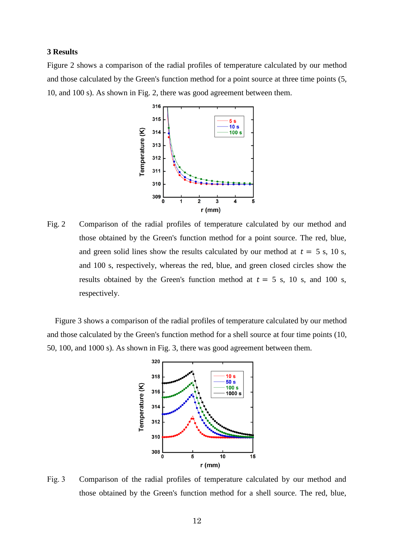# **3 Results**

Figure 2 shows a comparison of the radial profiles of temperature calculated by our method and those calculated by the Green's function method for a point source at three time points (5, 10, and 100 s). As shown in Fig. 2, there was good agreement between them.



Fig. 2 Comparison of the radial profiles of temperature calculated by our method and those obtained by the Green's function method for a point source. The red, blue, and green solid lines show the results calculated by our method at  $t = 5$  s, 10 s, and 100 s, respectively, whereas the red, blue, and green closed circles show the results obtained by the Green's function method at  $t = 5$  s, 10 s, and 100 s, respectively.

Figure 3 shows a comparison of the radial profiles of temperature calculated by our method and those calculated by the Green's function method for a shell source at four time points (10, 50, 100, and 1000 s). As shown in Fig. 3, there was good agreement between them.



Fig. 3 Comparison of the radial profiles of temperature calculated by our method and those obtained by the Green's function method for a shell source. The red, blue,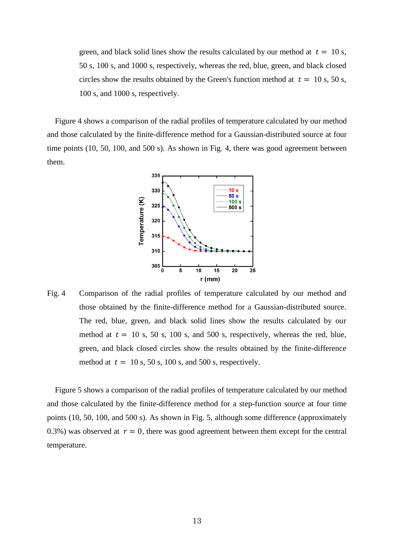green, and black solid lines show the results calculated by our method at  $t = 10$  s, 50 s, 100 s, and 1000 s, respectively, whereas the red, blue, green, and black closed circles show the results obtained by the Green's function method at  $t = 10$  s, 50 s, 100 s, and 1000 s, respectively.

Figure 4 shows a comparison of the radial profiles of temperature calculated by our method and those calculated by the finite-difference method for a Gaussian-distributed source at four time points (10, 50, 100, and 500 s). As shown in Fig. 4, there was good agreement between them.



Fig. 4 Comparison of the radial profiles of temperature calculated by our method and those obtained by the finite-difference method for a Gaussian-distributed source. The red, blue, green, and black solid lines show the results calculated by our method at  $t = 10$  s, 50 s, 100 s, and 500 s, respectively, whereas the red, blue, green, and black closed circles show the results obtained by the finite-difference method at  $t = 10$  s, 50 s, 100 s, and 500 s, respectively.

Figure 5 shows a comparison of the radial profiles of temperature calculated by our method and those calculated by the finite-difference method for a step-function source at four time points (10, 50, 100, and 500 s). As shown in Fig. 5, although some difference (approximately 0.3%) was observed at  $r = 0$ , there was good agreement between them except for the central temperature.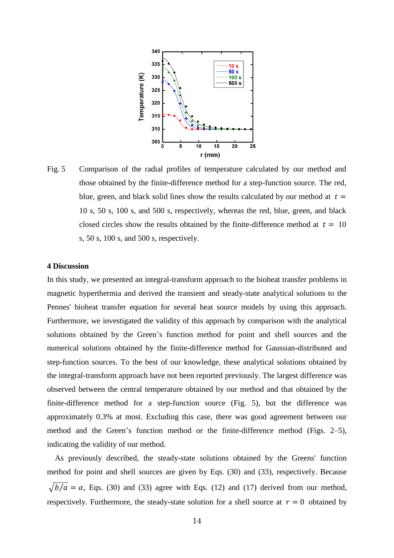

Fig. 5 Comparison of the radial profiles of temperature calculated by our method and those obtained by the finite-difference method for a step-function source. The red, blue, green, and black solid lines show the results calculated by our method at  $t =$ 10 s, 50 s, 100 s, and 500 s, respectively, whereas the red, blue, green, and black closed circles show the results obtained by the finite-difference method at  $t = 10$ s, 50 s, 100 s, and 500 s, respectively.

# **4 Discussion**

In this study, we presented an integral-transform approach to the bioheat transfer problems in magnetic hyperthermia and derived the transient and steady-state analytical solutions to the Pennes' bioheat transfer equation for several heat source models by using this approach. Furthermore, we investigated the validity of this approach by comparison with the analytical solutions obtained by the Green's function method for point and shell sources and the numerical solutions obtained by the finite-difference method for Gaussian-distributed and step-function sources. To the best of our knowledge, these analytical solutions obtained by the integral-transform approach have not been reported previously. The largest difference was observed between the central temperature obtained by our method and that obtained by the finite-difference method for a step-function source (Fig. 5), but the difference was approximately 0.3% at most. Excluding this case, there was good agreement between our method and the Green's function method or the finite-difference method (Figs. 2–5), indicating the validity of our method.

As previously described, the steady-state solutions obtained by the Greens' function method for point and shell sources are given by Eqs. (30) and (33), respectively. Because  $\sqrt{b/a} = \alpha$ , Eqs. (30) and (33) agree with Eqs. (12) and (17) derived from our method, respectively. Furthermore, the steady-state solution for a shell source at  $r = 0$  obtained by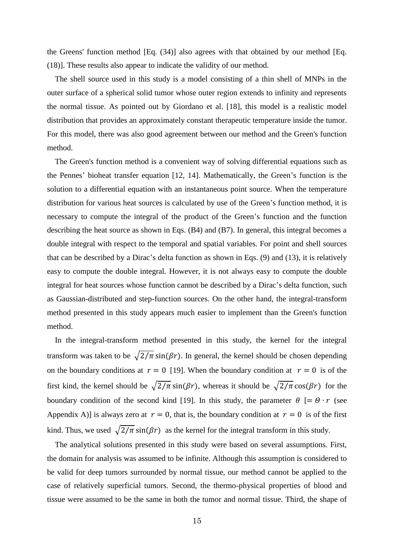the Greens' function method [Eq. (34)] also agrees with that obtained by our method [Eq. (18)]. These results also appear to indicate the validity of our method.

The shell source used in this study is a model consisting of a thin shell of MNPs in the outer surface of a spherical solid tumor whose outer region extends to infinity and represents the normal tissue. As pointed out by Giordano et al. [18], this model is a realistic model distribution that provides an approximately constant therapeutic temperature inside the tumor. For this model, there was also good agreement between our method and the Green's function method.

The Green's function method is a convenient way of solving differential equations such as the Pennes' bioheat transfer equation [12, 14]. Mathematically, the Green's function is the solution to a differential equation with an instantaneous point source. When the temperature distribution for various heat sources is calculated by use of the Green's function method, it is necessary to compute the integral of the product of the Green's function and the function describing the heat source as shown in Eqs. (B4) and (B7). In general, this integral becomes a double integral with respect to the temporal and spatial variables. For point and shell sources that can be described by a Dirac's delta function as shown in Eqs. (9) and (13), it is relatively easy to compute the double integral. However, it is not always easy to compute the double integral for heat sources whose function cannot be described by a Dirac's delta function, such as Gaussian-distributed and step-function sources. On the other hand, the integral-transform method presented in this study appears much easier to implement than the Green's function method.

In the integral-transform method presented in this study, the kernel for the integral transform was taken to be  $\sqrt{2/\pi}$  sin( $\beta r$ ). In general, the kernel should be chosen depending on the boundary conditions at  $r = 0$  [19]. When the boundary condition at  $r = 0$  is of the first kind, the kernel should be  $\sqrt{2/\pi}$  sin( $\beta r$ ), whereas it should be  $\sqrt{2/\pi}$  cos( $\beta r$ ) for the boundary condition of the second kind [19]. In this study, the parameter  $\theta$  [=  $\theta \cdot r$  (see Appendix A)] is always zero at  $r = 0$ , that is, the boundary condition at  $r = 0$  is of the first kind. Thus, we used  $\sqrt{2/\pi} \sin(\beta r)$  as the kernel for the integral transform in this study.

The analytical solutions presented in this study were based on several assumptions. First, the domain for analysis was assumed to be infinite. Although this assumption is considered to be valid for deep tumors surrounded by normal tissue, our method cannot be applied to the case of relatively superficial tumors. Second, the thermo-physical properties of blood and tissue were assumed to be the same in both the tumor and normal tissue. Third, the shape of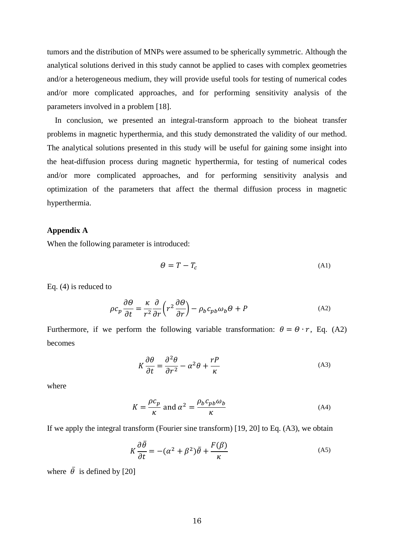tumors and the distribution of MNPs were assumed to be spherically symmetric. Although the analytical solutions derived in this study cannot be applied to cases with complex geometries and/or a heterogeneous medium, they will provide useful tools for testing of numerical codes and/or more complicated approaches, and for performing sensitivity analysis of the parameters involved in a problem [18].

In conclusion, we presented an integral-transform approach to the bioheat transfer problems in magnetic hyperthermia, and this study demonstrated the validity of our method. The analytical solutions presented in this study will be useful for gaining some insight into the heat-diffusion process during magnetic hyperthermia, for testing of numerical codes and/or more complicated approaches, and for performing sensitivity analysis and optimization of the parameters that affect the thermal diffusion process in magnetic hyperthermia.

#### **Appendix A**

When the following parameter is introduced:

$$
\Theta = T - T_c \tag{A1}
$$

Eq. (4) is reduced to

$$
\rho c_p \frac{\partial \theta}{\partial t} = \frac{\kappa}{r^2} \frac{\partial}{\partial r} \left( r^2 \frac{\partial \theta}{\partial r} \right) - \rho_b c_{pb} \omega_b \theta + P \tag{A2}
$$

Furthermore, if we perform the following variable transformation:  $\theta = \theta \cdot r$ , Eq. (A2) becomes

$$
K\frac{\partial\theta}{\partial t} = \frac{\partial^2\theta}{\partial r^2} - \alpha^2\theta + \frac{rP}{\kappa}
$$
 (A3)

where

$$
K = \frac{\rho c_p}{\kappa} \text{ and } \alpha^2 = \frac{\rho_b c_{pb} \omega_b}{\kappa} \tag{A4}
$$

If we apply the integral transform (Fourier sine transform) [19, 20] to Eq. (A3), we obtain

$$
K\frac{\partial\bar{\theta}}{\partial t} = -(\alpha^2 + \beta^2)\bar{\theta} + \frac{F(\beta)}{\kappa}
$$
 (A5)

where  $\bar{\theta}$  is defined by [20]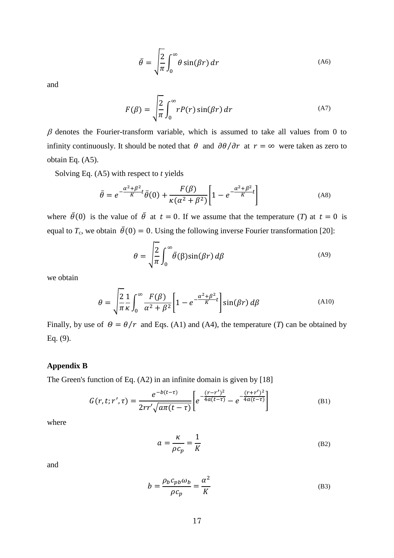$$
\bar{\theta} = \sqrt{\frac{2}{\pi}} \int_0^\infty \theta \sin(\beta r) dr
$$
 (A6)

and

$$
F(\beta) = \sqrt{\frac{2}{\pi}} \int_0^\infty r P(r) \sin(\beta r) dr
$$
 (A7)

 $\beta$  denotes the Fourier-transform variable, which is assumed to take all values from 0 to infinity continuously. It should be noted that  $\theta$  and  $\partial \theta / \partial r$  at  $r = \infty$  were taken as zero to obtain Eq. (A5).

Solving Eq. (A5) with respect to *t* yields

$$
\bar{\theta} = e^{-\frac{\alpha^2 + \beta^2}{K}t} \bar{\theta}(0) + \frac{F(\beta)}{\kappa(\alpha^2 + \beta^2)} \left[1 - e^{-\frac{\alpha^2 + \beta^2}{K}t}\right]
$$
\n(A8)

where  $\bar{\theta}(0)$  is the value of  $\bar{\theta}$  at  $t = 0$ . If we assume that the temperature (*T*) at  $t = 0$  is equal to  $T_c$ , we obtain  $\bar{\theta}(0) = 0$ . Using the following inverse Fourier transformation [20]:

$$
\theta = \sqrt{\frac{2}{\pi}} \int_0^\infty \bar{\theta}(\beta) \sin(\beta r) \, d\beta \tag{A9}
$$

we obtain

$$
\theta = \sqrt{\frac{2}{\pi} \frac{1}{\kappa} \int_0^\infty \frac{F(\beta)}{\alpha^2 + \beta^2} \left[ 1 - e^{-\frac{\alpha^2 + \beta^2}{K} t} \right] \sin(\beta r) d\beta}
$$
(A10)

Finally, by use of  $\theta = \theta/r$  and Eqs. (A1) and (A4), the temperature (*T*) can be obtained by Eq. (9).

# **Appendix B**

The Green's function of Eq. (A2) in an infinite domain is given by [18]

$$
G(r, t; r', \tau) = \frac{e^{-b(t-\tau)}}{2rr'\sqrt{a\pi(t-\tau)}} \bigg[ e^{-\frac{(r-r')^2}{4a(t-\tau)}} - e^{-\frac{(r+r')^2}{4a(t-\tau)}} \bigg] \tag{B1}
$$

where

$$
a = \frac{\kappa}{\rho c_p} = \frac{1}{K}
$$
 (B2)

and

$$
b = \frac{\rho_b c_{pb} \omega_b}{\rho c_p} = \frac{\alpha^2}{K}
$$
 (B3)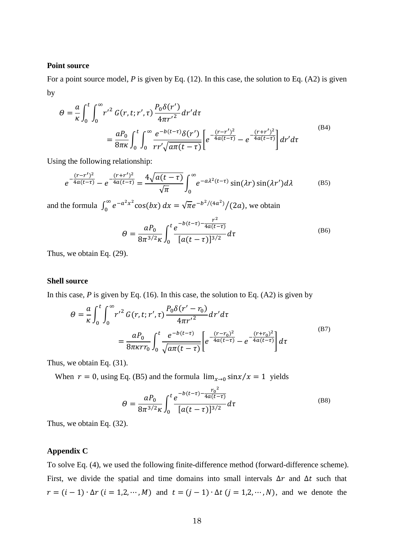### **Point source**

For a point source model, *P* is given by Eq. (12). In this case, the solution to Eq. (A2) is given by

$$
\Theta = \frac{a}{\kappa} \int_0^t \int_0^\infty r'^2 G(r, t; r', \tau) \frac{P_0 \delta(r')}{4\pi r'^2} dr' d\tau \n= \frac{a P_0}{8\pi \kappa} \int_0^t \int_0^\infty \frac{e^{-b(t-\tau)} \delta(r')}{r r' \sqrt{a\pi (t-\tau)}} \left[ e^{-\frac{(r-r')^2}{4a(t-\tau)}} - e^{-\frac{(r+r')^2}{4a(t-\tau)}} \right] dr' d\tau
$$
\n(B4)

Using the following relationship:

$$
e^{-\frac{(r-r')^2}{4a(t-\tau)}} - e^{-\frac{(r+r')^2}{4a(t-\tau)}} = \frac{4\sqrt{a(t-\tau)}}{\sqrt{\pi}} \int_0^\infty e^{-a\lambda^2(t-\tau)} \sin(\lambda r) \sin(\lambda r') d\lambda \tag{B5}
$$

and the formula  $\int_0^\infty e^{-a^2x^2} \cos(bx)$  $\int_0^{\infty} e^{-a^2 x^2} \cos(bx) dx = \sqrt{\pi} e^{-b^2/(4a^2)} / (2a)$ , we obtain

$$
\Theta = \frac{aP_0}{8\pi^{3/2}\kappa} \int_0^t \frac{e^{-b(t-\tau) - \frac{r^2}{4a(t-\tau)}}}{[a(t-\tau)]^{3/2}} d\tau
$$
\n(B6)

Thus, we obtain Eq. (29).

#### **Shell source**

In this case,  $P$  is given by Eq. (16). In this case, the solution to Eq. (A2) is given by

$$
\Theta = \frac{a}{\kappa} \int_0^t \int_0^\infty r'^2 G(r, t; r', \tau) \frac{P_0 \delta(r' - r_0)}{4\pi r'^2} dr' d\tau \n= \frac{a P_0}{8\pi \kappa r r_0} \int_0^t \frac{e^{-b(t-\tau)}}{\sqrt{a\pi (t-\tau)}} \left[ e^{-\frac{(r-r_0)^2}{4a(t-\tau)}} - e^{-\frac{(r+r_0)^2}{4a(t-\tau)}} \right] d\tau
$$
\n(B7)

Thus, we obtain Eq. (31).

When  $r = 0$ , using Eq. (B5) and the formula  $\lim_{x\to 0} \frac{\sin x}{x} = 1$  yields

$$
\Theta = \frac{aP_0}{8\pi^{3/2}\kappa} \int_0^t \frac{e^{-b(t-\tau) - \frac{r_0^2}{4a(t-\tau)}}}{[a(t-\tau)]^{3/2}} d\tau
$$
\n(B8)

Thus, we obtain Eq. (32).

# **Appendix C**

To solve Eq. (4), we used the following finite-difference method (forward-difference scheme). First, we divide the spatial and time domains into small intervals  $\Delta r$  and  $\Delta t$  such that  $r = (i - 1) \cdot \Delta r$  ( $i = 1, 2, \dots, M$ ) and  $t = (j - 1) \cdot \Delta t$  ( $j = 1, 2, \dots, N$ ), and we denote the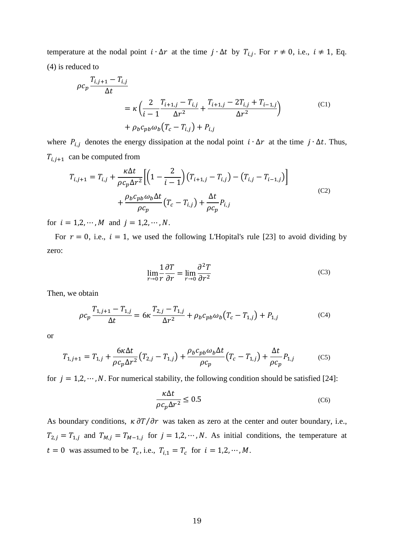temperature at the nodal point  $i \cdot \Delta r$  at the time  $j \cdot \Delta t$  by  $T_{i,j}$ . For  $r \neq 0$ , i.e.,  $i \neq 1$ , Eq. (4) is reduced to

$$
\rho c_p \frac{T_{i,j+1} - T_{i,j}}{\Delta t} = \kappa \left( \frac{2}{i-1} \frac{T_{i+1,j} - T_{i,j}}{\Delta r^2} + \frac{T_{i+1,j} - 2T_{i,j} + T_{i-1,j}}{\Delta r^2} \right) + \rho_b c_{pb} \omega_b (T_c - T_{i,j}) + P_{i,j}
$$
(C1)

where  $P_{i,j}$  denotes the energy dissipation at the nodal point  $i \cdot \Delta r$  at the time  $j \cdot \Delta t$ . Thus,  $T_{i,j+1}$  can be computed from

$$
T_{i,j+1} = T_{i,j} + \frac{\kappa \Delta t}{\rho c_p \Delta r^2} \Biggl[ \Biggl( 1 - \frac{2}{i-1} \Biggr) \Biggl( T_{i+1,j} - T_{i,j} \Biggr) - \Biggl( T_{i,j} - T_{i-1,j} \Biggr) \Biggr] + \frac{\rho_b c_{pb} \omega_b \Delta t}{\rho c_p} \Biggl( T_c - T_{i,j} \Biggr) + \frac{\Delta t}{\rho c_p} P_{i,j}
$$
(C2)

for  $i = 1, 2, \dots, M$  and  $j = 1, 2, \dots, N$ .

For  $r = 0$ , i.e.,  $i = 1$ , we used the following L'Hopital's rule [23] to avoid dividing by zero:

$$
\lim_{r \to 0} \frac{1}{r} \frac{\partial T}{\partial r} = \lim_{r \to 0} \frac{\partial^2 T}{\partial r^2}
$$
 (C3)

Then, we obtain

$$
\rho c_p \frac{T_{1,j+1} - T_{1,j}}{\Delta t} = 6\kappa \frac{T_{2,j} - T_{1,j}}{\Delta r^2} + \rho_b c_{pb} \omega_b (T_c - T_{1,j}) + P_{1,j}
$$
(C4)

or

$$
T_{1,j+1} = T_{1,j} + \frac{6\kappa\Delta t}{\rho c_p \Delta r^2} (T_{2,j} - T_{1,j}) + \frac{\rho_b c_{pb} \omega_b \Delta t}{\rho c_p} (T_c - T_{1,j}) + \frac{\Delta t}{\rho c_p} P_{1,j}
$$
(C5)

for  $j = 1, 2, \dots, N$ . For numerical stability, the following condition should be satisfied [24]:

$$
\frac{\kappa \Delta t}{\rho c_p \Delta r^2} \le 0.5\tag{C6}
$$

As boundary conditions,  $\kappa \frac{\partial T}{\partial r}$  was taken as zero at the center and outer boundary, i.e.,  $T_{2,j} = T_{1,j}$  and  $T_{M,j} = T_{M-1,j}$  for  $j = 1,2,\dots,N$ . As initial conditions, the temperature at  $t = 0$  was assumed to be  $T_c$ , i.e.,  $T_{i,1} = T_c$  for  $i = 1,2,\dots,M$ .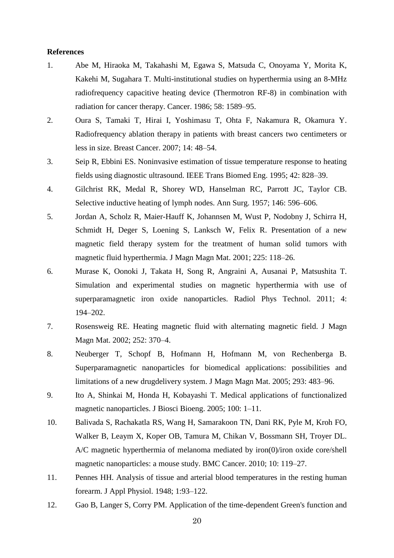# **References**

- 1. Abe M, Hiraoka M, Takahashi M, Egawa S, Matsuda C, Onoyama Y, Morita K, Kakehi M, Sugahara T. Multi-institutional studies on hyperthermia using an 8-MHz radiofrequency capacitive heating device (Thermotron RF-8) in combination with radiation for cancer therapy. Cancer. 1986; 58: 1589–95.
- 2. Oura S, Tamaki T, Hirai I, Yoshimasu T, Ohta F, Nakamura R, Okamura Y. Radiofrequency ablation therapy in patients with breast cancers two centimeters or less in size. Breast Cancer. 2007; 14: 48–54.
- 3. Seip R, Ebbini ES. Noninvasive estimation of tissue temperature response to heating fields using diagnostic ultrasound. IEEE Trans Biomed Eng. 1995; 42: 828–39.
- 4. Gilchrist RK, Medal R, Shorey WD, Hanselman RC, Parrott JC, Taylor CB. Selective inductive heating of lymph nodes. Ann Surg. 1957; 146: 596–606.
- 5. Jordan A, Scholz R, Maier-Hauff K, Johannsen M, Wust P, Nodobny J, Schirra H, Schmidt H, Deger S, Loening S, Lanksch W, Felix R. Presentation of a new magnetic field therapy system for the treatment of human solid tumors with magnetic fluid hyperthermia. J Magn Magn Mat. 2001; 225: 118–26.
- 6. Murase K, Oonoki J, Takata H, Song R, Angraini A, Ausanai P, Matsushita T. Simulation and experimental studies on magnetic hyperthermia with use of superparamagnetic iron oxide nanoparticles. Radiol Phys Technol. 2011; 4: 194–202.
- 7. Rosensweig RE. Heating magnetic fluid with alternating magnetic field. J Magn Magn Mat. 2002; 252: 370–4.
- 8. Neuberger T, Schopf B, Hofmann H, Hofmann M, von Rechenberga B. Superparamagnetic nanoparticles for biomedical applications: possibilities and limitations of a new drugdelivery system. J Magn Magn Mat. 2005; 293: 483–96.
- 9. Ito A, Shinkai M, Honda H, Kobayashi T. Medical applications of functionalized magnetic nanoparticles. J Biosci Bioeng. 2005; 100: 1–11.
- 10. Balivada S, Rachakatla RS, Wang H, Samarakoon TN, Dani RK, Pyle M, Kroh FO, Walker B, Leaym X, Koper OB, Tamura M, Chikan V, Bossmann SH, Troyer DL. A/C magnetic hyperthermia of melanoma mediated by iron(0)/iron oxide core/shell magnetic nanoparticles: a mouse study. BMC Cancer. 2010; 10: 119–27.
- 11. Pennes HH. Analysis of tissue and arterial blood temperatures in the resting human forearm. J Appl Physiol. 1948; 1:93–122.
- 12. Gao B, Langer S, Corry PM. Application of the time-dependent Green's function and